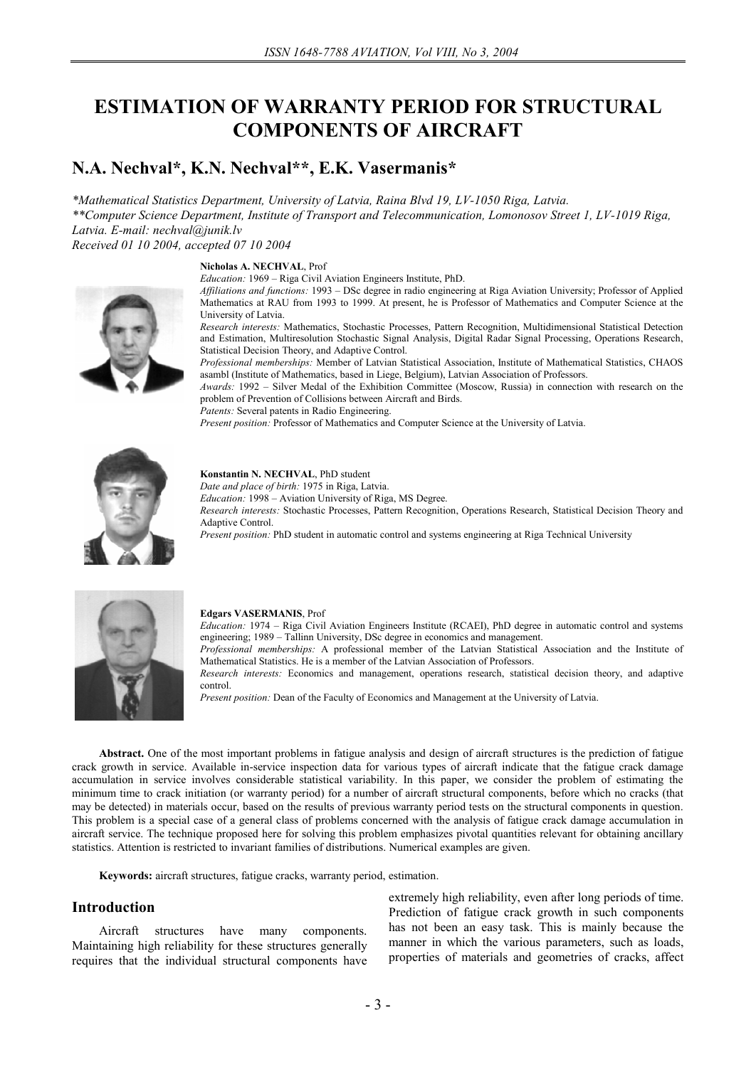# **ESTIMATION OF WARRANTY PERIOD FOR STRUCTURAL COMPONENTS OF AIRCRAFT**

## **N.A. Nechval\*, K.N. Nechval\*\*, E.K. Vasermanis\***

*\*Mathematical Statistics Department, University of Latvia, Raina Blvd 19, LV-1050 Riga, Latvia. \*\*Computer Science Department, Institute of Transport and Telecommunication, Lomonosov Street 1, LV-1019 Riga, Latvia. E-mail: nechval@junik.lv Received 01 10 2004, accepted 07 10 2004* 

**Nicholas A. NECHVAL**, Prof

*Education:* 1969 – Riga Civil Aviation Engineers Institute, PhD.



*Affiliations and functions:* 1993 – DSc degree in radio engineering at Riga Aviation University; Professor of Applied Mathematics at RAU from 1993 to 1999. At present, he is Professor of Mathematics and Computer Science at the University of Latvia.

*Research interests:* Mathematics, Stochastic Processes, Pattern Recognition, Multidimensional Statistical Detection and Estimation, Multiresolution Stochastic Signal Analysis, Digital Radar Signal Processing, Operations Research, Statistical Decision Theory, and Adaptive Control.

*Professional memberships:* Member of Latvian Statistical Association, Institute of Mathematical Statistics, CHAOS asambl (Institute of Mathematics, based in Liege, Belgium), Latvian Association of Professors.

*Awards:* 1992 – Silver Medal of the Exhibition Committee (Moscow, Russia) in connection with research on the problem of Prevention of Collisions between Aircraft and Birds.

*Patents:* Several patents in Radio Engineering.

*Present position:* Professor of Mathematics and Computer Science at the University of Latvia.



**Konstantin N. NECHVAL**, PhD student *Date and place of birth:* 1975 in Riga, Latvia. *Education:* 1998 – Aviation University of Riga, MS Degree. *Research interests:* Stochastic Processes, Pattern Recognition, Operations Research, Statistical Decision Theory and Adaptive Control.

*Present position:* PhD student in automatic control and systems engineering at Riga Technical University



#### **Edgars VASERMANIS**, Prof

*Education:* 1974 – Riga Civil Aviation Engineers Institute (RCAEI), PhD degree in automatic control and systems engineering; 1989 – Tallinn University, DSc degree in economics and management.

*Professional memberships:* A professional member of the Latvian Statistical Association and the Institute of Mathematical Statistics. He is a member of the Latvian Association of Professors.

*Research interests:* Economics and management, operations research, statistical decision theory, and adaptive control.

*Present position:* Dean of the Faculty of Economics and Management at the University of Latvia.

**Abstract.** One of the most important problems in fatigue analysis and design of aircraft structures is the prediction of fatigue crack growth in service. Available in-service inspection data for various types of aircraft indicate that the fatigue crack damage accumulation in service involves considerable statistical variability. In this paper, we consider the problem of estimating the minimum time to crack initiation (or warranty period) for a number of aircraft structural components, before which no cracks (that may be detected) in materials occur, based on the results of previous warranty period tests on the structural components in question. This problem is a special case of a general class of problems concerned with the analysis of fatigue crack damage accumulation in aircraft service. The technique proposed here for solving this problem emphasizes pivotal quantities relevant for obtaining ancillary statistics. Attention is restricted to invariant families of distributions. Numerical examples are given.

**Keywords:** aircraft structures, fatigue cracks, warranty period, estimation.

### **Introduction**

Aircraft structures have many components. Maintaining high reliability for these structures generally requires that the individual structural components have extremely high reliability, even after long periods of time. Prediction of fatigue crack growth in such components has not been an easy task. This is mainly because the manner in which the various parameters, such as loads, properties of materials and geometries of cracks, affect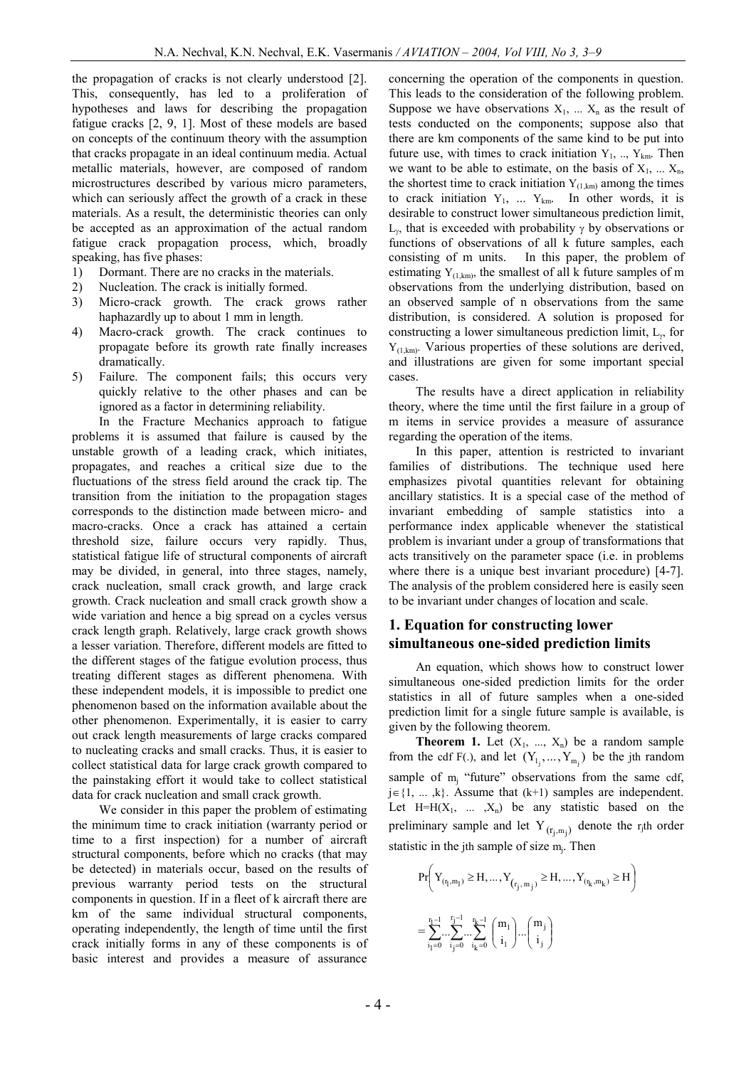the propagation of cracks is not clearly understood [2]. This, consequently, has led to a proliferation of hypotheses and laws for describing the propagation fatigue cracks [2, 9, 1]. Most of these models are based on concepts of the continuum theory with the assumption that cracks propagate in an ideal continuum media. Actual metallic materials, however, are composed of random microstructures described by various micro parameters, which can seriously affect the growth of a crack in these materials. As a result, the deterministic theories can only be accepted as an approximation of the actual random fatigue crack propagation process, which, broadly speaking, has five phases:

- 1) Dormant. There are no cracks in the materials.
- 2) Nucleation. The crack is initially formed.
- 3) Micro-crack growth. The crack grows rather haphazardly up to about 1 mm in length.
- 4) Macro-crack growth. The crack continues to propagate before its growth rate finally increases dramatically.
- 5) Failure. The component fails; this occurs very quickly relative to the other phases and can be ignored as a factor in determining reliability.

In the Fracture Mechanics approach to fatigue problems it is assumed that failure is caused by the unstable growth of a leading crack, which initiates, propagates, and reaches a critical size due to the fluctuations of the stress field around the crack tip. The transition from the initiation to the propagation stages corresponds to the distinction made between micro- and macro-cracks. Once a crack has attained a certain threshold size, failure occurs very rapidly. Thus, statistical fatigue life of structural components of aircraft may be divided, in general, into three stages, namely, crack nucleation, small crack growth, and large crack growth. Crack nucleation and small crack growth show a wide variation and hence a big spread on a cycles versus crack length graph. Relatively, large crack growth shows a lesser variation. Therefore, different models are fitted to the different stages of the fatigue evolution process, thus treating different stages as different phenomena. With these independent models, it is impossible to predict one phenomenon based on the information available about the other phenomenon. Experimentally, it is easier to carry out crack length measurements of large cracks compared to nucleating cracks and small cracks. Thus, it is easier to collect statistical data for large crack growth compared to the painstaking effort it would take to collect statistical data for crack nucleation and small crack growth.

We consider in this paper the problem of estimating the minimum time to crack initiation (warranty period or time to a first inspection) for a number of aircraft structural components, before which no cracks (that may be detected) in materials occur, based on the results of previous warranty period tests on the structural components in question. If in a fleet of k aircraft there are km of the same individual structural components, operating independently, the length of time until the first crack initially forms in any of these components is of basic interest and provides a measure of assurance

concerning the operation of the components in question. This leads to the consideration of the following problem. Suppose we have observations  $X_1$ , ...  $X_n$  as the result of tests conducted on the components; suppose also that there are km components of the same kind to be put into future use, with times to crack initiation  $Y_1, ..., Y_{km}$ . Then we want to be able to estimate, on the basis of  $X_1, \ldots, X_n$ , the shortest time to crack initiation  $Y_{(1,km)}$  among the times to crack initiation  $Y_1$ , ...  $Y_{km}$ . In other words, it is desirable to construct lower simultaneous prediction limit,  $L_{\gamma}$ , that is exceeded with probability  $\gamma$  by observations or functions of observations of all k future samples, each consisting of m units. In this paper, the problem of estimating  $Y_{(1,km)}$ , the smallest of all k future samples of m observations from the underlying distribution, based on an observed sample of n observations from the same distribution, is considered. A solution is proposed for constructing a lower simultaneous prediction limit,  $L_{\gamma}$ , for  $Y_{(1,km)}$ . Various properties of these solutions are derived, and illustrations are given for some important special cases.

The results have a direct application in reliability theory, where the time until the first failure in a group of m items in service provides a measure of assurance regarding the operation of the items.

In this paper, attention is restricted to invariant families of distributions. The technique used here emphasizes pivotal quantities relevant for obtaining ancillary statistics. It is a special case of the method of invariant embedding of sample statistics into a performance index applicable whenever the statistical problem is invariant under a group of transformations that acts transitively on the parameter space (i.e. in problems where there is a unique best invariant procedure) [4-7]. The analysis of the problem considered here is easily seen to be invariant under changes of location and scale.

## **1. Equation for constructing lower simultaneous one-sided prediction limits**

An equation, which shows how to construct lower simultaneous one-sided prediction limits for the order statistics in all of future samples when a one-sided prediction limit for a single future sample is available, is given by the following theorem.

**Theorem 1.** Let  $(X_1, ..., X_n)$  be a random sample from the cdf F(.), and let  $(Y_{1_j},...,Y_{m_j})$  be the jth random sample of  $m_i$  "future" observations from the same cdf,  $j \in \{1, ..., k\}$ . Assume that  $(k+1)$  samples are independent. Let  $H=H(X_1, \ldots, X_n)$  be any statistic based on the preliminary sample and let  $Y_{(r_j,m_j)}$  denote the r<sub>j</sub>th order statistic in the jth sample of size  $m_j$ . Then

$$
\begin{aligned} & \Pr\biggl(Y_{(r_1,m_1)}\geq H,\ldots,Y_{(r_j,\,m_j)}\geq H,\ldots,Y_{(r_k,m_k)}\geq H\biggr) \\ =& \sum_{i_1=0}^{r_1-1}\ldots\sum_{i_k=0}^{r_k-1}\binom{m_1}{i_1}\ldots\binom{m_j}{i_j} \end{aligned}
$$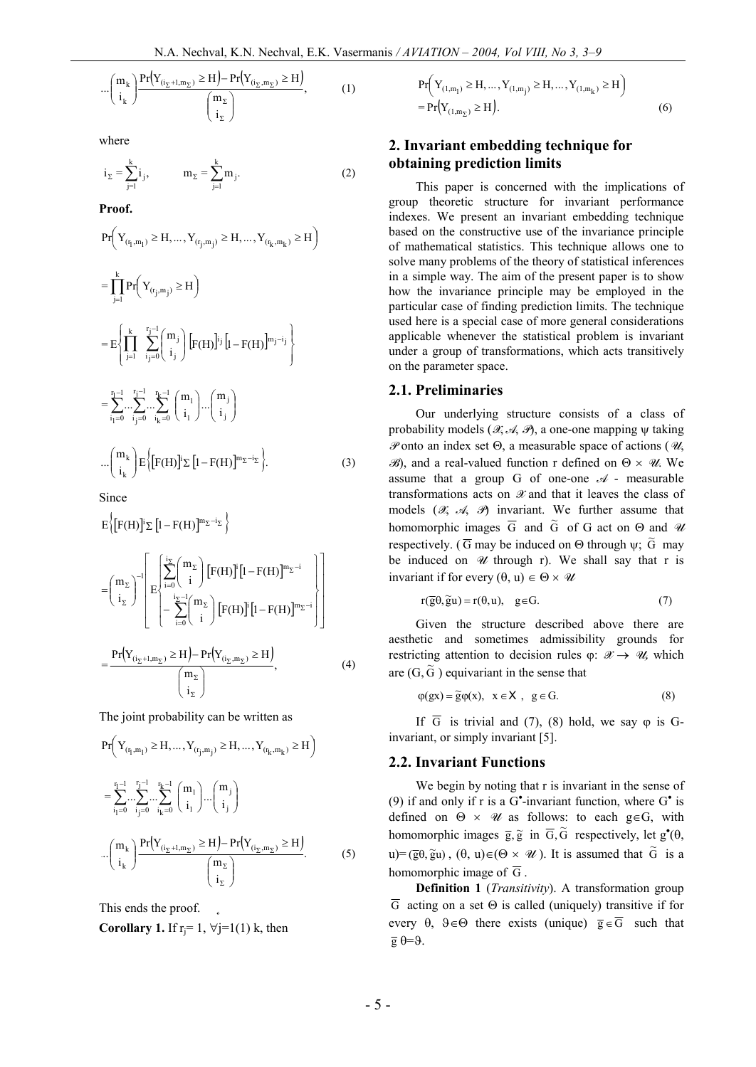$$
\cdots \left(\begin{array}{c} m_k \\ i_k \end{array}\right) \frac{\Pr(Y_{(i_{\Sigma}+1,m_{\Sigma})} \ge H) - \Pr(Y_{(i_{\Sigma},m_{\Sigma})} \ge H)}{\left(\begin{array}{c} m_{\Sigma} \\ i_{\Sigma} \end{array}\right)},\tag{1}
$$

where

$$
i_{\Sigma} = \sum_{j=1}^{k} i_{j}, \qquad m_{\Sigma} = \sum_{j=1}^{k} m_{j}.
$$
 (2)

**Proof.**

$$
\text{Pr}\Big(\,Y_{(r_l,m_l)}\geq H,\ldots,Y_{(r_j,m_j)}\geq H,\ldots,Y_{(r_k,m_k)}\geq H\,\Big)
$$

$$
= \prod_{j=1}^{k} Pr\left(Y_{(r_j,m_j)} \geq H\right)
$$
  
\n
$$
= E\left\{\prod_{j=1}^{k} \prod_{i_j=0}^{r_j-1} {m_j \choose i_j} \left[F(H)\right]^{i_j} [1 - F(H)\right]^{m_j-i_j} \right\}
$$
  
\n
$$
= \sum_{i_1=0}^{r_1-1} \cdots \sum_{i_k=0}^{r_j-1} \cdots \sum_{i_k=0}^{r_k-1} {m_1 \choose i_1} \cdots {m_j \choose i_j}
$$
  
\n
$$
\cdots {m_k \choose i_k} E\left\{[F(H)]^{i_j} \Sigma [1 - F(H)]^{m_{\Sigma} - i_{\Sigma}}\right\}.
$$
 (3)

Since

$$
E\left\{\left[F(H)\right]^{i}\Sigma\left[l - F(H)\right]^{m_{\Sigma}-i_{\Sigma}}\right\}
$$
\n
$$
=\left(\begin{array}{c} m_{\Sigma} \\ i_{\Sigma} \end{array}\right)^{-1}\left[E\left\{\begin{array}{c} \sum_{i=0}^{i_{\Sigma}} {m_{\Sigma} \choose i} \left[F(H)\right]^{i} \left[1 - F(H)\right]^{m_{\Sigma}-i} \\ \sum_{i=0}^{i_{\Sigma}-1} {m_{\Sigma} \choose i} \left[F(H)\right]^{i} \left[1 - F(H)\right]^{m_{\Sigma}-i} \right]\right]
$$
\n
$$
=\frac{\Pr(Y_{(i_{\Sigma}+1,m_{\Sigma})} \ge H) - \Pr(Y_{(i_{\Sigma},m_{\Sigma})} \ge H)}{\left(\begin{array}{c} m_{\Sigma} \\ i_{\Sigma} \end{array}\right)}, \tag{4}
$$

The joint probability can be written as

$$
Pr\left(Y_{(r_1,m_1)} \ge H, ..., Y_{(r_j,m_j)} \ge H, ..., Y_{(r_k,m_k)} \ge H\right)
$$
  
\n
$$
= \sum_{i_1=0}^{r_1-1} ... \sum_{i_j=0}^{r_j-1} ... \sum_{i_k=0}^{r_k-1} {m_1 \choose i_1} ... {m_j \choose i_j}
$$
  
\n
$$
... {m_k \choose i_k} \frac{Pr(Y_{(i_{\Sigma}+1,m_{\Sigma})} \ge H) - Pr(Y_{(i_{\Sigma},m_{\Sigma})} \ge H)}{m_{\Sigma} \choose i_{\Sigma}}.
$$
 (5)

This ends the proof. **Corollary 1.** If  $r_i = 1$ ,  $\forall j=1(1)$  k, then

$$
\Pr\left(Y_{(1,m_1)} \ge H, \dots, Y_{(1,m_j)} \ge H, \dots, Y_{(1,m_k)} \ge H\right)
$$
  
= 
$$
\Pr(Y_{(1,m_2)} \ge H).
$$
 (6)

## **2. Invariant embedding technique for obtaining prediction limits**

This paper is concerned with the implications of group theoretic structure for invariant performance indexes. We present an invariant embedding technique based on the constructive use of the invariance principle of mathematical statistics. This technique allows one to solve many problems of the theory of statistical inferences in a simple way. The aim of the present paper is to show how the invariance principle may be employed in the particular case of finding prediction limits. The technique used here is a special case of more general considerations applicable whenever the statistical problem is invariant under a group of transformations, which acts transitively on the parameter space.

## **2.1. Preliminaries**

Our underlying structure consists of a class of probability models ( $\mathscr{A}, \mathscr{A}, \mathscr{D}$ ), a one-one mapping  $\psi$  taking *P* onto an index set Q, a measurable space of actions (*U*, *B*), and a real-valued function r defined on  $\Theta \times \mathcal{U}$ . We assume that a group G of one-one  $\mathcal A$  - measurable transformations acts on *X* and that it leaves the class of models  $(X, A, B)$  invariant. We further assume that homomorphic images  $\overline{G}$  and  $\widetilde{G}$  of G act on  $\Theta$  and  $\mathscr U$ respectively. ( $\overline{G}$  may be induced on  $\Theta$  through  $\psi$ ;  $\widetilde{G}$  may be induced on  $W$  through r). We shall say that r is invariant if for every  $(\theta, u) \in \Theta \times \mathcal{U}$ 

$$
r(\overline{g}\theta, \widetilde{g}u) = r(\theta, u), \quad g \in G.
$$
 (7)

Given the structure described above there are aesthetic and sometimes admissibility grounds for restricting attention to decision rules  $\varphi: \mathcal{X} \rightarrow \mathcal{U}$ , which are  $(G, \tilde{G})$  equivariant in the sense that

$$
\varphi(gx) = \widetilde{g}\varphi(x), \quad x \in X, \quad g \in G. \tag{8}
$$

If  $\overline{G}$  is trivial and (7), (8) hold, we say  $\varphi$  is Ginvariant, or simply invariant [5].

## **2.2. Invariant Functions**

We begin by noting that r is invariant in the sense of (9) if and only if r is a  $G^{\bullet}$ -invariant function, where  $G^{\bullet}$  is defined on  $\Theta \times \mathcal{U}$  as follows: to each g $\in$ G, with homomorphic images  $\overline{g}$ ,  $\overline{g}$  in  $\overline{G}$ ,  $\widetilde{G}$  respectively, let  $g^{\bullet}(\theta)$ ,  $u)=(\overline{g}\theta, \overline{g}u)$ ,  $(\theta, u)\in (\Theta \times \mathcal{U})$ . It is assumed that  $\widetilde{G}$  is a homomorphic image of  $\overline{G}$ .

**Definition 1** (*Transitivity*). A transformation group  $\overline{G}$  acting on a set  $\Theta$  is called (uniquely) transitive if for every  $\theta$ ,  $\theta \in \Theta$  there exists (unique)  $\overline{g} \in \overline{G}$  such that  $\overline{g} \theta = \theta$ .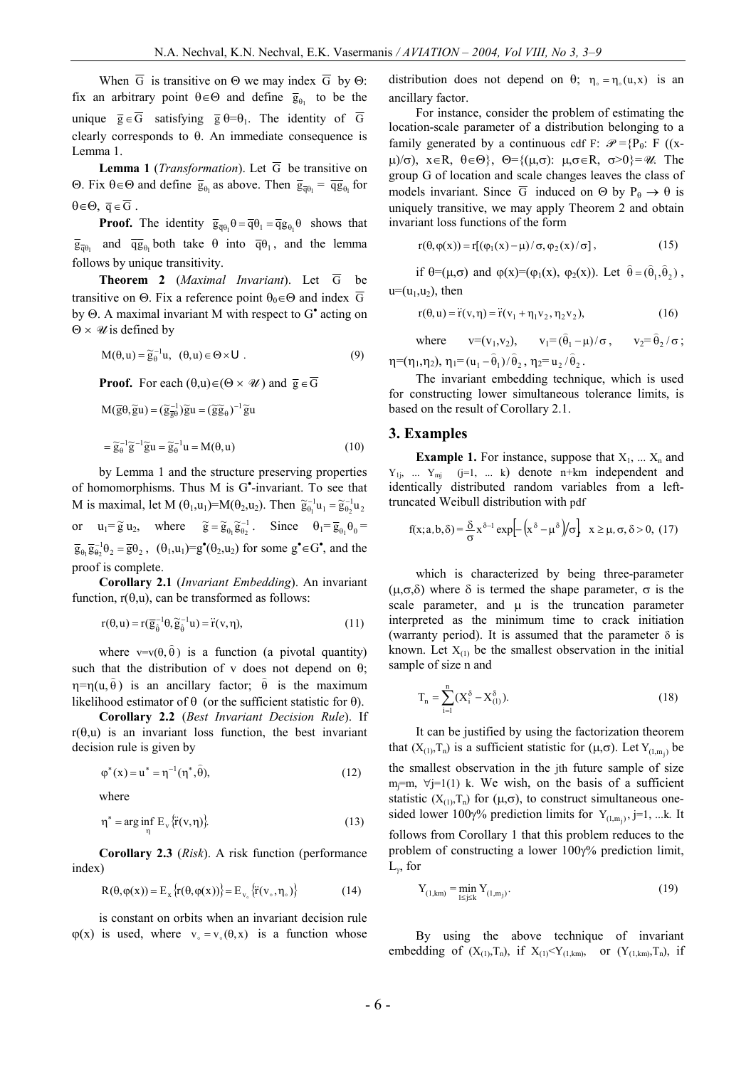When  $\overline{G}$  is transitive on  $\Theta$  we may index  $\overline{G}$  by  $\Theta$ : fix an arbitrary point  $\theta \in \Theta$  and define  $\bar{g}_{\theta_1}$  to be the unique  $\overline{g} \in \overline{G}$  satisfying  $\overline{g} \theta = \theta_1$ . The identity of  $\overline{G}$ clearly corresponds to  $\theta$ . An immediate consequence is Lemma 1.

**Lemma 1** (*Transformation*). Let  $\overline{G}$  be transitive on  $\Theta$ . Fix θ∈ $\Theta$  and define  $\bar{g}_{\theta_1}$  as above. Then  $\bar{g}_{\bar{q}\theta_1} = \bar{q}g_{\theta_1}$  for  $\theta \in \Theta$ ,  $\overline{q} \in \overline{G}$ .

**Proof.** The identity  $\overline{g}_{\overline{q}\theta_1}\theta = \overline{q}\theta_1 = \overline{q}g_{\theta_1}\theta$  shows that  $\overline{g}_{\overline{q}\theta_1}$  and  $\overline{qg}_{\theta_1}$  both take  $\theta$  into  $\overline{q}\theta_1$ , and the lemma follows by unique transitivity.

**Theorem 2** (*Maximal Invariant*). Let  $\overline{G}$  be transitive on  $\Theta$ . Fix a reference point  $\theta_0 \in \Theta$  and index  $\overline{G}$ by  $\Theta$ . A maximal invariant M with respect to  $G^{\bullet}$  acting on  $\Theta \times \mathcal{U}$  is defined by

$$
M(\theta, u) = \widetilde{g}_{\theta}^{-1} u, \quad (\theta, u) \in \Theta \times U
$$
 (9)

**Proof.** For each  $(\theta, u) \in (\Theta \times \mathcal{U})$  and  $\overline{g} \in \overline{G}$ 

$$
M(\overline{g}\theta, \widetilde{g}u) = (\widetilde{g}_{\overline{g}\theta}^{-1})\widetilde{g}u = (\widetilde{g}\widetilde{g}_{\theta})^{-1}\widetilde{g}u
$$
  

$$
= \widetilde{g}_{\theta}^{-1}\widetilde{g}^{-1}\widetilde{g}u = \widetilde{g}_{\theta}^{-1}u = M(\theta, u)
$$
 (10)

by Lemma 1 and the structure preserving properties of homomorphisms. Thus M is G<sup>\*</sup>-invariant. To see that M is maximal, let M  $(\theta_1, u_1) = M(\theta_2, u_2)$ . Then  $\tilde{g}_{\theta_1}^{-1}u_1 = \tilde{g}_{\theta_2}^{-1}u_2$ or  $u_1 = \tilde{g} u_2$ , where  $\tilde{g} = \tilde{g}_{\theta_1} \tilde{g}_{\theta_2}^{-1}$ . Since  $\theta_1 = \overline{g}_{\theta_1} \theta_0 =$  $\overline{g}_{\theta_1} \overline{g}_{\theta_2}^{-1} \theta_2 = \overline{g} \theta_2$ ,  $(\theta_1, u_1) = g^{\bullet}(\theta_2, u_2)$  for some  $g^{\bullet} \in G^{\bullet}$ , and the proof is complete.

**Corollary 2.1** (*Invariant Embedding*). An invariant function,  $r(\theta, u)$ , can be transformed as follows:

$$
r(\theta, u) = r(\overline{g}_{\hat{\theta}}^{-1}\theta, \widetilde{g}_{\hat{\theta}}^{-1}u) = \ddot{r}(v, \eta),
$$
\n(11)

where  $v=v(\theta, \hat{\theta})$  is a function (a pivotal quantity) such that the distribution of v does not depend on  $\theta$ ; h=h(u,  $\hat{\theta}$ ) is an ancillary factor;  $\hat{\theta}$  is the maximum likelihood estimator of  $\theta$  (or the sufficient statistic for  $\theta$ ).

**Corollary 2.2** (*Best Invariant Decision Rule*). If  $r(\theta, u)$  is an invariant loss function, the best invariant decision rule is given by

$$
\varphi^*(x) = u^* = \eta^{-1}(\eta^*, \hat{\theta}), \tag{12}
$$

where

$$
\eta^* = \arg\inf_{\eta} E_{\nu} \{ \ddot{r}(v, \eta) \}. \tag{13}
$$

**Corollary 2.3** (*Risk*). A risk function (performance index)

$$
R(\theta, \varphi(x)) = E_x \{r(\theta, \varphi(x))\} = E_{v_0} \{r(v_0, \eta_0)\}
$$
(14)

is constant on orbits when an invariant decision rule  $\varphi(x)$  is used, where  $v_0 = v_0(\theta, x)$  is a function whose

distribution does not depend on  $\theta$ ;  $\eta_0 = \eta_0(u, x)$  is an ancillary factor.

For instance, consider the problem of estimating the location-scale parameter of a distribution belonging to a family generated by a continuous cdf F:  $\mathcal{P} = {P_{\theta}: F ((x \mu$ / $\sigma$ ),  $x \in R$ ,  $\theta \in \Theta$ },  $\Theta = \{(\mu, \sigma): \mu, \sigma \in R, \sigma > 0\} = \mathcal{U}$ . The group G of location and scale changes leaves the class of models invariant. Since  $\overline{G}$  induced on  $\Theta$  by  $P_{\theta} \to \theta$  is uniquely transitive, we may apply Theorem 2 and obtain invariant loss functions of the form

$$
r(\theta, \varphi(x)) = r[(\varphi_1(x) - \mu)/\sigma, \varphi_2(x)/\sigma],
$$
\n(15)

if  $\theta = (\mu, \sigma)$  and  $\varphi(x) = (\varphi_1(x), \varphi_2(x))$ . Let  $\hat{\theta} = (\hat{\theta}_1, \hat{\theta}_2)$ ,  $u=(u_1,u_2)$ , then

$$
r(\theta, u) = \ddot{r}(v, \eta) = \ddot{r}(v_1 + \eta_1 v_2, \eta_2 v_2),
$$
 (16)

where  $v=(v_1,v_2), v_1=(\hat{\theta}_1-\mu)/\sigma, v_2=\hat{\theta}_2/\sigma;$  $\eta = (\eta_1, \eta_2), \, \eta_1 = (u_1 - \hat{\theta}_1)/\hat{\theta}_2, \, \eta_2 = u_2/\hat{\theta}_2.$ 

The invariant embedding technique, which is used for constructing lower simultaneous tolerance limits, is based on the result of Corollary 2.1.

#### **3. Examples**

**Example 1.** For instance, suppose that  $X_1$ , ...  $X_n$  and  $Y_{1i}$ , ...  $Y_{mi}$  (j=1, ... k) denote n+km independent and identically distributed random variables from a lefttruncated Weibull distribution with pdf

$$
f(x;a,b,\delta) = \frac{\delta}{\sigma} x^{\delta-1} \exp\left[-\left(x^{\delta} - \mu^{\delta}\right)/\sigma\right], \quad x \ge \mu, \sigma, \delta > 0, \ (17)
$$

which is characterized by being three-parameter  $(\mu,\sigma,\delta)$  where  $\delta$  is termed the shape parameter,  $\sigma$  is the scale parameter, and  $\mu$  is the truncation parameter interpreted as the minimum time to crack initiation (warranty period). It is assumed that the parameter  $\delta$  is known. Let  $X_{(1)}$  be the smallest observation in the initial sample of size n and

$$
T_n = \sum_{i=1}^{n} (X_i^{\delta} - X_{(1)}^{\delta}).
$$
\n(18)

It can be justified by using the factorization theorem that  $(X_{(1)},T_n)$  is a sufficient statistic for  $(\mu,\sigma)$ . Let  $Y_{(1,m_j)}$  be the smallest observation in the jth future sample of size  $m<sub>i</sub>=m$ ,  $\forall j=1(1)$  k. We wish, on the basis of a sufficient statistic  $(X_{(1)},T_n)$  for  $(\mu,\sigma)$ , to construct simultaneous onesided lower 100 $\gamma$ % prediction limits for  $Y_{(1,m_j)}$ , j=1, ...k. It follows from Corollary 1 that this problem reduces to the problem of constructing a lower  $100\gamma\%$  prediction limit,  $L_{\gamma}$ , for

$$
Y_{(1,km)} = \min_{1 \le j \le k} Y_{(1,m_j)}.
$$
\n(19)

By using the above technique of invariant embedding of  $(X_{(1)},T_n)$ , if  $X_{(1)} < Y_{(1,km)}$ , or  $(Y_{(1,km)},T_n)$ , if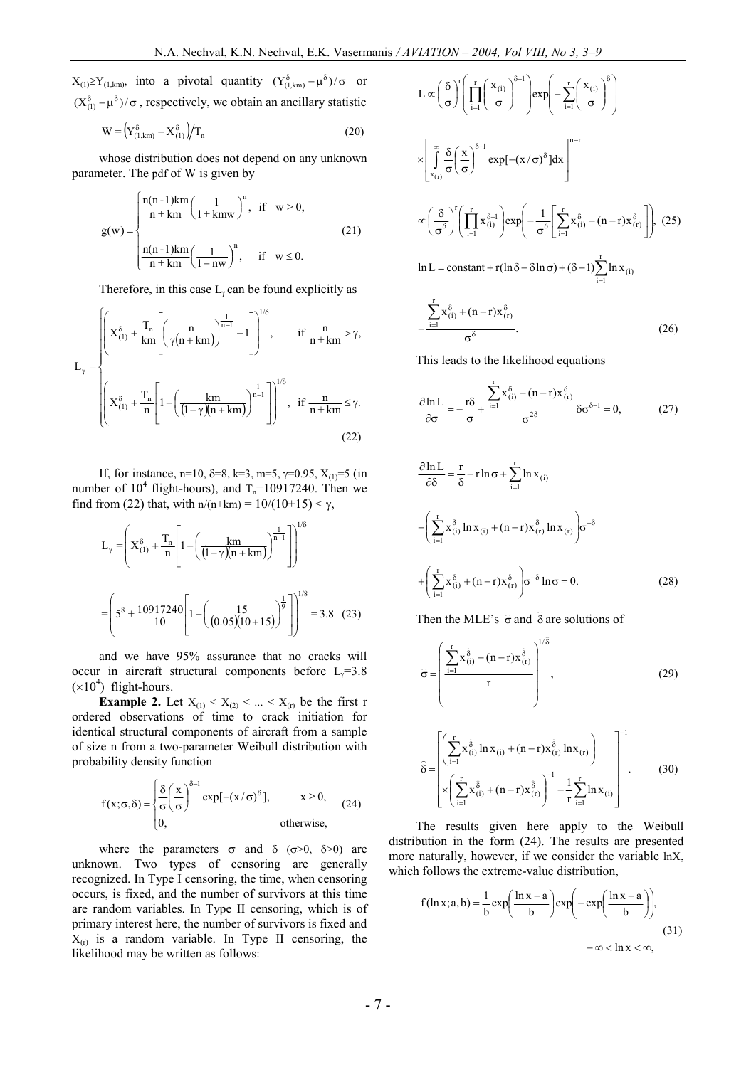$X_{(1)} \geq Y_{(1,km)}$ , into a pivotal quantity  $(Y_{(1,km)}^{\delta} - \mu^{\delta})/\sigma$  or  $(X_{(1)}^{\delta} - \mu^{\delta})/\sigma$ , respectively, we obtain an ancillary statistic

$$
W = \left(Y_{(1,km)}^{\delta} - X_{(1)}^{\delta}\right) / T_n \tag{20}
$$

whose distribution does not depend on any unknown parameter. The pdf of W is given by

$$
g(w) = \begin{cases} \frac{n(n-1)km}{n+km} \left(\frac{1}{1+kmw}\right)^n, & \text{if } w > 0, \\ \frac{n(n-1)km}{n+km} \left(\frac{1}{1-nw}\right)^n, & \text{if } w \le 0. \end{cases}
$$
(21)

Therefore, in this case  $L_y$  can be found explicitly as

ì

$$
L_{\gamma} = \begin{cases} \left( X_{(1)}^{\delta} + \frac{T_n}{km} \left[ \left( \frac{n}{\gamma(n+km)} \right)^{\frac{1}{n-1}} - 1 \right] \right)^{1/\delta}, & \text{if } \frac{n}{n+km} > \gamma, \\ \\ \left( X_{(1)}^{\delta} + \frac{T_n}{n} \left[ 1 - \left( \frac{km}{(1-\gamma)(n+km)} \right)^{\frac{1}{n-1}} \right] \right)^{1/\delta}, & \text{if } \frac{n}{n+km} \le \gamma. \end{cases}
$$
(22)

If, for instance, n=10,  $\delta$ =8, k=3, m=5,  $\gamma$ =0.95, X<sub>(1)</sub>=5 (in number of  $10^4$  flight-hours), and  $T_n=10917240$ . Then we find from (22) that, with  $n/(n+km) = 10/(10+15) < \gamma$ ,

$$
L_{\gamma} = \left( X_{(1)}^{\delta} + \frac{T_n}{n} \left[ 1 - \left( \frac{km}{(1 - \gamma)(n + km)} \right)^{\frac{1}{n - 1}} \right] \right)^{1/\delta}
$$

$$
= \left( 5^8 + \frac{10917240}{10} \left[ 1 - \left( \frac{15}{(0.05)(10 + 15)} \right)^{\frac{1}{9}} \right] \right)^{1/8} = 3.8 \quad (23)
$$

and we have 95% assurance that no cracks will occur in aircraft structural components before  $L_y=3.8$  $(x10<sup>4</sup>)$  flight-hours.

**Example 2.** Let  $X_{(1)} < X_{(2)} < ... < X_{(r)}$  be the first r ordered observations of time to crack initiation for identical structural components of aircraft from a sample of size n from a two-parameter Weibull distribution with probability density function

$$
f(x; \sigma, \delta) = \begin{cases} \frac{\delta}{\sigma} \left( \frac{x}{\sigma} \right)^{\delta - 1} \exp[-(x/\sigma)^{\delta}], & x \ge 0, \\ 0, & \text{otherwise,} \end{cases}
$$
 (24)

where the parameters  $\sigma$  and  $\delta$  ( $\sigma$ >0,  $\delta$ >0) are unknown. Two types of censoring are generally recognized. In Type I censoring, the time, when censoring occurs, is fixed, and the number of survivors at this time are random variables. In Type II censoring, which is of primary interest here, the number of survivors is fixed and  $X_{(r)}$  is a random variable. In Type II censoring, the likelihood may be written as follows:

$$
L \propto \left(\frac{\delta}{\sigma}\right)^{r} \left(\prod_{i=1}^{r} \left(\frac{x_{(i)}}{\sigma}\right)^{\delta-1}\right) \exp\left(-\sum_{i=1}^{r} \left(\frac{x_{(i)}}{\sigma}\right)^{\delta}\right)
$$
  

$$
\times \left[\int_{x_{(r)}}^{\infty} \frac{\delta}{\sigma} \left(\frac{x}{\sigma}\right)^{\delta-1} \exp[-(x/\sigma)^{\delta}] dx\right]^{n-r}
$$
  

$$
\propto \left(\frac{\delta}{\sigma^{\delta}}\right)^{r} \left(\prod_{i=1}^{r} x_{(i)}^{\delta-1}\right) \exp\left(-\frac{1}{\sigma^{\delta}} \left[\sum_{i=1}^{r} x_{(i)}^{\delta} + (n-r)x_{(r)}^{\delta}\right]\right), (25)
$$
  

$$
\ln L = \text{constant} + r(\ln \delta - \delta \ln \sigma) + (\delta - 1) \sum_{i=1}^{r} \ln x_{(i)}
$$

.  $x_{(i)}^{\delta} + (n-r)x$  $\sum_{i=1}^{k}$   $\mathbf{x}_{(i)} + (n-1)\mathbf{x}_{(r)}$  $\frac{-1}{\delta}$  $\sigma$  $+(n -$ -  $\sum$ (26)

This leads to the likelihood equations

$$
\frac{\partial \ln L}{\partial \sigma} = -\frac{r\delta}{\sigma} + \frac{\sum_{i=1}^{r} x_{(i)}^{\delta} + (n-r)x_{(r)}^{\delta}}{\sigma^{2\delta}} \delta \sigma^{\delta - 1} = 0, \tag{27}
$$

$$
\frac{\partial \ln L}{\partial \delta} = \frac{r}{\delta} - r \ln \sigma + \sum_{i=1}^{r} \ln x_{(i)}
$$

$$
- \left( \sum_{i=1}^{r} x_{(i)}^{\delta} \ln x_{(i)} + (n-r) x_{(r)}^{\delta} \ln x_{(r)} \right) \sigma^{-\delta}
$$

$$
+ \left( \sum_{i=1}^{r} x_{(i)}^{\delta} + (n-r) x_{(r)}^{\delta} \right) \sigma^{-\delta} \ln \sigma = 0.
$$
 (28)

Then the MLE's  $\hat{\sigma}$  and  $\hat{\delta}$  are solutions of

$$
\hat{\sigma} = \left(\frac{\sum_{i=1}^{r} x_{(i)}^{\hat{\delta}} + (n-r)x_{(r)}^{\hat{\delta}}}{r}\right)^{1/\hat{\delta}},
$$
\n(29)

$$
\hat{\delta} = \left[ \left( \sum_{i=1}^{r} x \frac{\hat{\delta}}{n} \ln x_{(i)} + (n-r) x \frac{\hat{\delta}}{r} \ln x_{(r)} \right) - \sum_{i=1}^{r} \left( \sum_{i=1}^{r} x \frac{\hat{\delta}}{n} + (n-r) x \frac{\hat{\delta}}{r} \right)^{-1} - \frac{1}{r} \sum_{i=1}^{r} \ln x_{(i)} \right]^{-1}.
$$
(30)

The results given here apply to the Weibull distribution in the form (24). The results are presented more naturally, however, if we consider the variable lnX, which follows the extreme-value distribution,

$$
f(\ln x; a, b) = \frac{1}{b} \exp\left(\frac{\ln x - a}{b}\right) \exp\left(-\exp\left(\frac{\ln x - a}{b}\right)\right),\tag{31}
$$

$$
-\infty < \ln x < \infty,
$$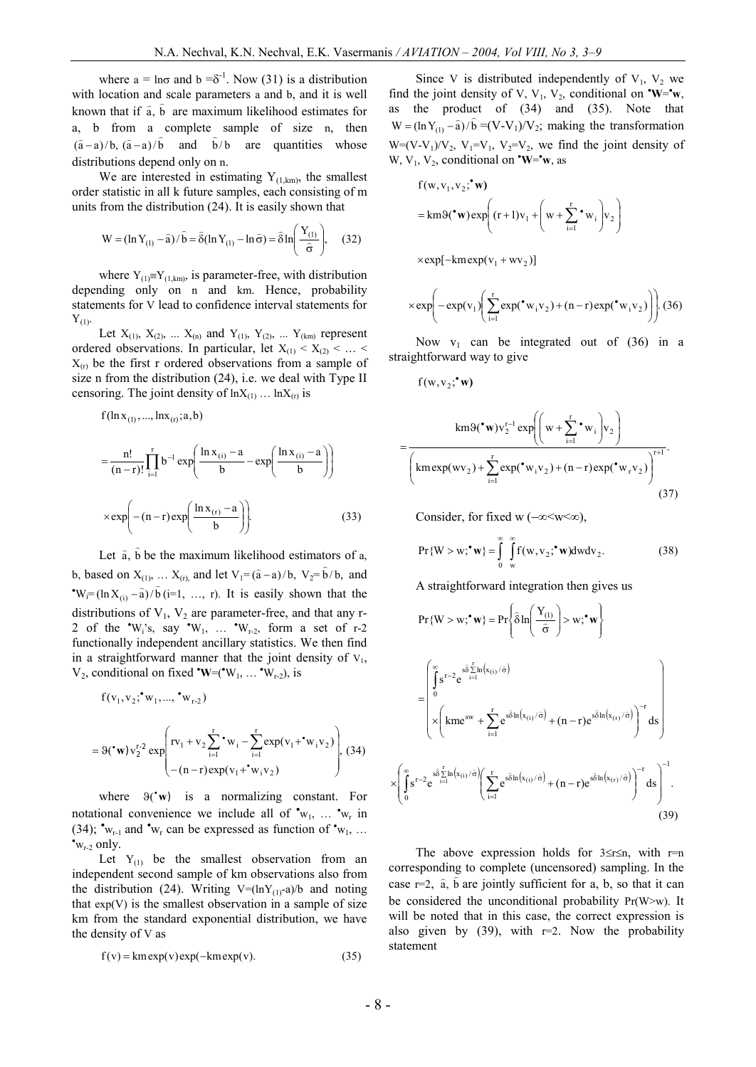where  $a = \ln \sigma$  and  $b = \delta^{-1}$ . Now (31) is a distribution with location and scale parameters a and b, and it is well known that if  $\hat{a}$ ,  $\hat{b}$  are maximum likelihood estimates for a, b from a complete sample of size n, then  $(a-a)/b$ ,  $(a-a)/b$  and  $\hat{b}/b$ are quantities whose distributions depend only on n.

We are interested in estimating  $Y_{(1,km)}$ , the smallest order statistic in all k future samples, each consisting of m units from the distribution (24). It is easily shown that

$$
W = (\ln Y_{(1)} - \hat{a}) / \hat{b} = \hat{\delta} (\ln Y_{(1)} - \ln \hat{\sigma}) = \hat{\delta} \ln \left( \frac{Y_{(1)}}{\hat{\sigma}} \right), \quad (32)
$$

where  $Y_{(1)}=Y_{(1,km)}$ , is parameter-free, with distribution depending only on n and km. Hence, probability statements for V lead to confidence interval statements for  $Y_{(1)}$ .

Let  $X_{(1)}$ ,  $X_{(2)}$ , ...  $X_{(n)}$  and  $Y_{(1)}$ ,  $Y_{(2)}$ , ...  $Y_{(km)}$  represent ordered observations. In particular, let  $X_{(1)} < X_{(2)} < ... <$  $X_{(r)}$  be the first r ordered observations from a sample of size n from the distribution (24), i.e. we deal with Type II censoring. The joint density of  $ln X_{(1)}$  ...  $ln X_{(r)}$  is

$$
f(\ln x_{(1)},...,\ln x_{(r)};a,b)
$$

$$
= \frac{n!}{(n-r)!} \prod_{i=1}^{r} b^{-1} \exp\left(\frac{\ln x_{(i)} - a}{b} - \exp\left(\frac{\ln x_{(i)} - a}{b}\right)\right)
$$

$$
\times \exp\left(-(n-r) \exp\left(\frac{\ln x_{(r)} - a}{b}\right)\right).
$$
(33)

Let  $\hat{a}$ ,  $\hat{b}$  be the maximum likelihood estimators of  $a$ , b, based on  $X_{(1)}$ , ...  $X_{(r)}$ , and let  $V_1 = (\hat{a} - a)/b$ ,  $V_2 = \hat{b}/b$ , and  $W_i=(\ln X_{(i)}-\hat{a})/\hat{b}$  (i=1, ..., r). It is easily shown that the distributions of  $V_1$ ,  $V_2$  are parameter-free, and that any r-2 of the  $\mathbf{W}_i$ 's, say  $\mathbf{W}_1$ , ...  $\mathbf{W}_{r-2}$ , form a set of r-2 functionally independent ancillary statistics. We then find in a straightforward manner that the joint density of  $V_1$ ,  $V_2$ , conditional on fixed **'W**=('W<sub>1</sub>, ... 'W<sub>r-2</sub>), is

$$
f(v_1, v_2; {}^{\bullet}w_1, ..., {}^{\bullet}w_{r-2})
$$
  
= 9( ${}^{\bullet}w$ )v<sub>2</sub><sup>r-2</sup> exp  $\left( {}^{rv_1} + v_2 \sum_{i=1}^{r} {}^{\bullet}w_i - \sum_{i=1}^{r} exp(v_1 + {}^{\bullet}w_i v_2) \right)$ , (34)  
- (n-r) exp(v<sub>1</sub>+ ${}^{\bullet}w_i v_2$ )

where  $\Theta(\mathbf{w})$  is a normalizing constant. For notational convenience we include all of  $\mathbf{v}_{N_1}, \dots, \mathbf{v}_{N_r}$  in (34);  $\mathbf{v}_{w_{r-1}}$  and  $\mathbf{v}_{w_r}$  can be expressed as function of  $\mathbf{v}_{w_1}$ , ...  $\cdot_{w_{r-2}}$  only.

Let  $Y_{(1)}$  be the smallest observation from an independent second sample of km observations also from the distribution (24). Writing  $V=(\ln Y_{(1)}-a)/b$  and noting that  $exp(V)$  is the smallest observation in a sample of size km from the standard exponential distribution, we have the density of V as

$$
f(v) = km \exp(v) \exp(-km \exp(v)).
$$
 (35)

Since V is distributed independently of  $V_1$ ,  $V_2$  we find the joint density of V, V<sub>1</sub>, V<sub>2</sub>, conditional on  $\cdot w = \cdot w$ , as the product of (34) and (35). Note that  $W = (\ln Y_{(1)} - \hat{a})/\hat{b} = (V-V_1)/V_2$ ; making the transformation  $W=(V-V_1)/V_2$ ,  $V_1=V_1$ ,  $V_2=V_2$ , we find the joint density of W,  $V_1$ ,  $V_2$ , conditional on  $\mathbf{W} = \mathbf{w}$ , as

$$
f(w, v_1, v_2; \mathbf{w})
$$
  
= km9( $\mathbf{w}$ ) exp $\left( (r+1)v_1 + \left( w + \sum_{i=1}^r \mathbf{w}_i \right) v_2 \right)$ 

 $\times \exp[-\mathrm{km} \exp(\mathrm{v}_1 + \mathrm{w} \mathrm{v}_2)]$ 

$$
\times \exp\left(-\exp(v_1)\left(\sum_{i=1}^r \exp(\mathbf{v}_i v_2) + (n-r) \exp(\mathbf{v}_i v_2)\right)\right). (36)
$$

Now  $v_1$  can be integrated out of (36) in a straightforward way to give

$$
f(w,v_2;^{\bullet}w)
$$

$$
= \frac{\text{km}\vartheta(\mathbf{w})\mathbf{v}_{2}^{r-1}\exp\left(\left(\mathbf{w}+\sum_{i=1}^{r}\mathbf{w}_{i}\right)\mathbf{v}_{2}\right)}{\left(\text{km}\exp(\mathbf{w}_{2})+\sum_{i=1}^{r}\exp(\mathbf{w}_{i}\mathbf{v}_{2})+(n-r)\exp(\mathbf{w}_{r}\mathbf{v}_{2})\right)^{r+1}}.
$$
\n(37)

Consider, for fixed w  $(-\infty < w < \infty)$ ,

$$
Pr{W > w;^{\bullet} w} = \int_{0}^{\infty} \int_{w}^{\infty} f(w, v_2;^{\bullet} w) dw dv_2.
$$
 (38)

A straightforward integration then gives us

$$
Pr\{W > w;^{\bullet}w\} = Pr\left\{\hat{\delta} \ln\left(\frac{Y_{(1)}}{\hat{\sigma}}\right) > w;^{\bullet}w\right\}
$$

$$
= \begin{bmatrix} \int_{0}^{\infty} s^{r-2} e^{-s\hat{\delta}\sum_{i=1}^{r} \ln(x_{(i)}/\hat{\sigma})} \\ x \left(\text{km}e^{sw} + \sum_{i=1}^{r} e^{-s\hat{\delta}\ln(x_{(i)}/\hat{\sigma})} + (n-r)e^{-s\hat{\delta}\ln(x_{(r)}/\hat{\sigma})}\right)^{-r} ds \\ x \left(\int_{0}^{\infty} s^{r-2} e^{-s\hat{\delta}\sum_{i=1}^{r} \ln(x_{(i)}/\hat{\sigma})} \left(\sum_{i=1}^{r} e^{-s\hat{\delta}\ln(x_{(i)}/\hat{\sigma})} + (n-r)e^{-s\hat{\delta}\ln(x_{(r)}/\hat{\sigma})}\right)^{-r} ds\right)^{-1} .\end{bmatrix}
$$
(39)

The above expression holds for  $3 \le r \le n$ , with r=n corresponding to complete (uncensored) sampling. In the  $\cos \theta$  responsing to comprese (ancelessory) suppling. In the case  $r=2$ ,  $\hat{a}$ ,  $\hat{b}$  are jointly sufficient for a, b, so that it can be considered the unconditional probability  $Pr(W>w)$ . It will be noted that in this case, the correct expression is also given by  $(39)$ , with r=2. Now the probability statement